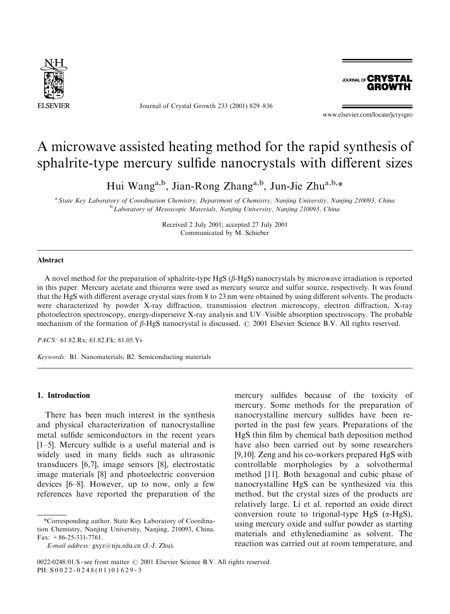

Journal of Crystal Growth 233 (2001) 829–836



www.elsevier.com/locate/jcrysgro

# A microwave assisted heating method for the rapid synthesis of sphalrite-type mercury sulfide nanocrystals with different sizes

Hui Wang<sup>a,b</sup>, Jian-Rong Zhang<sup>a,b</sup>, Jun-Jie Zhu<sup>a,b,\*</sup>

<sup>a</sup> State Key Laboratory of Coordination Chemistry, Department of Chemistry, Nanjing University, Nanjing 210093, China<br><sup>b</sup>Laboratory of Mesoscopic Materials, Nanjing University, Nanjing 210093, China

Received 2 July 2001; accepted 27 July 2001 Communicated by M. Schieber

#### Abstract

A novel method for the preparation of sphalrite-type HgS  $(\beta$ -HgS) nanocrystals by microwave irradiation is reported in this paper. Mercury acetate and thiourea were used as mercury source and sulfur source, respectively. It was found that the HgS with different average crystal sizes from 8 to 23 nm were obtained by using different solvents. The products were characterized by powder X-ray diffraction, transmission electron microscopy, electron diffraction, X-ray photoelectron spectroscopy, energy-disperseive X-ray analysis and UV–Visible absorption spectroscopy. The probable mechanism of the formation of  $\beta$ -HgS nanocrystal is discussed.  $\odot$  2001 Elsevier Science B.V. All rights reserved.

PACS: 61.82.Rx; 61.82.Fk; 81.05.Ys

Keywords: B1. Nanomaterials; B2. Semiconducting materials

## 1. Introduction

There has been much interest in the synthesis and physical characterization of nanocrystalline metal sulfide semiconductors in the recent years [1–5]. Mercury sulfide is a useful material and is widely used in many fields such as ultrasonic transducers [6,7], image sensors [8], electrostatic image materials [8] and photoelectric conversion devices [6–8]. However, up to now, only a few references have reported the preparation of the

mercury sulfides because of the toxicity of mercury. Some methods for the preparation of nanocrystalline mercury sulfides have been reported in the past few years. Preparations of the HgS thin film by chemical bath deposition method have also been carried out by some researchers [9,10]. Zeng and his co-workers prepared HgS with controllable morphologies by a solvothermal method [11]. Both hexagonal and cubic phase of nanocrystalline HgS can be synthesized via this method, but the crystal sizes of the products are relatively large. Li et al. reported an oxide direct conversion route to trigonal-type  $HgS$  ( $\alpha$ -HgS), using mercury oxide and sulfur powder as starting materials and ethylenediamine as solvent. The reaction was carried out at room temperature, and

<sup>\*</sup>Corresponding author. State Key Laboratory of Coordination Chemistry, Nanjing University, Nanjing, 210093, China. Fax:  $+86-25-331-7761$ .

E-mail address: gxyz@nju.edu.cn (J.-J. Zhu).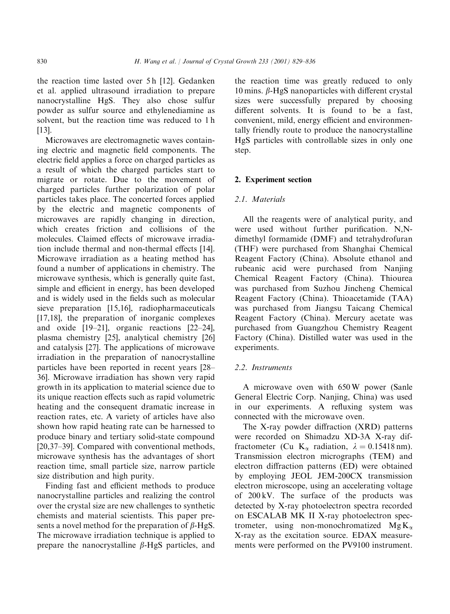the reaction time lasted over 5 h [12]. Gedanken et al. applied ultrasound irradiation to prepare nanocrystalline HgS. They also chose sulfur powder as sulfur source and ethylenediamine as solvent, but the reaction time was reduced to 1 h [13].

Microwaves are electromagnetic waves containing electric and magnetic field components. The electric field applies a force on charged particles as a result of which the charged particles start to migrate or rotate. Due to the movement of charged particles further polarization of polar particles takes place. The concerted forces applied by the electric and magnetic components of microwaves are rapidly changing in direction, which creates friction and collisions of the molecules. Claimed effects of microwave irradiation include thermal and non-thermal effects [14]. Microwave irradiation as a heating method has found a number of applications in chemistry. The microwave synthesis, which is generally quite fast, simple and efficient in energy, has been developed and is widely used in the fields such as molecular sieve preparation [15,16], radiopharmaceuticals [17,18], the preparation of inorganic complexes and oxide [19–21], organic reactions [22–24], plasma chemistry [25], analytical chemistry [26] and catalysis [27]. The applications of microwave irradiation in the preparation of nanocrystalline particles have been reported in recent years [28– 36]. Microwave irradiation has shown very rapid growth in its application to material science due to its unique reaction effects such as rapid volumetric heating and the consequent dramatic increase in reaction rates, etc. A variety of articles have also shown how rapid heating rate can be harnessed to produce binary and tertiary solid-state compound [20,37–39]. Compared with conventional methods, microwave synthesis has the advantages of short reaction time, small particle size, narrow particle size distribution and high purity.

Finding fast and efficient methods to produce nanocrystalline particles and realizing the control over the crystal size are new challenges to synthetic chemists and material scientists. This paper presents a novel method for the preparation of  $\beta$ -HgS. The microwave irradiation technique is applied to prepare the nanocrystalline  $\beta$ -HgS particles, and

the reaction time was greatly reduced to only 10 mins.  $\beta$ -HgS nanoparticles with different crystal sizes were successfully prepared by choosing different solvents. It is found to be a fast, convenient, mild, energy efficient and environmentally friendly route to produce the nanocrystalline HgS particles with controllable sizes in only one step.

#### 2. Experiment section

#### 2.1. Materials

All the reagents were of analytical purity, and were used without further purification. N,Ndimethyl formamide (DMF) and tetrahydrofuran (THF) were purchased from Shanghai Chemical Reagent Factory (China). Absolute ethanol and rubeanic acid were purchased from Nanjing Chemical Reagent Factory (China). Thiourea was purchased from Suzhou Jincheng Chemical Reagent Factory (China). Thioacetamide (TAA) was purchased from Jiangsu Taicang Chemical Reagent Factory (China). Mercury acetate was purchased from Guangzhou Chemistry Reagent Factory (China). Distilled water was used in the experiments.

## 2.2. Instruments

A microwave oven with 650 W power (Sanle General Electric Corp. Nanjing, China) was used in our experiments. A refluxing system was connected with the microwave oven.

The X-ray powder diffraction (XRD) patterns were recorded on Shimadzu XD-3A X-ray diffractometer (Cu K<sub> $\alpha$ </sub> radiation,  $\lambda = 0.15418$  nm). Transmission electron micrographs (TEM) and electron diffraction patterns (ED) were obtained by employing JEOL JEM-200CX transmission electron microscope, using an accelerating voltage of 200 kV. The surface of the products was detected by X-ray photoelectron spectra recorded on ESCALAB MK II X-ray photoelectron spectrometer, using non-monochromatized  $Mg K_{\alpha}$ X-ray as the excitation source. EDAX measurements were performed on the PV9100 instrument.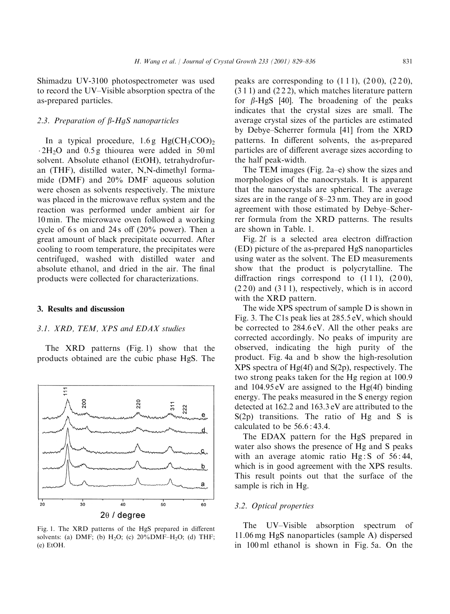Shimadzu UV-3100 photospectrometer was used to record the UV–Visible absorption spectra of the as-prepared particles.

## 2.3. Preparation of  $\beta$ -HqS nanoparticles

In a typical procedure,  $1.6 g$  Hg(CH<sub>3</sub>COO)<sub>2</sub>  $\cdot$  2H<sub>2</sub>O and 0.5 g thiourea were added in 50 ml solvent. Absolute ethanol (EtOH), tetrahydrofuran (THF), distilled water, N,N-dimethyl formamide (DMF) and 20% DMF aqueous solution were chosen as solvents respectively. The mixture was placed in the microwave reflux system and the reaction was performed under ambient air for 10 min. The microwave oven followed a working cycle of 6 s on and 24 s off  $(20\%$  power). Then a great amount of black precipitate occurred. After cooling to room temperature, the precipitates were centrifuged, washed with distilled water and absolute ethanol, and dried in the air. The final products were collected for characterizations.

## 3. Results and discussion

## 3.1. XRD, TEM, XPS and EDAX studies

The XRD patterns (Fig. 1) show that the products obtained are the cubic phase HgS. The



Fig. 1. The XRD patterns of the HgS prepared in different solvents: (a) DMF; (b)  $H_2O$ ; (c)  $20\%$ DMF– $H_2O$ ; (d) THF; (e) EtOH.

peaks are corresponding to  $(111)$ ,  $(200)$ ,  $(220)$ , (3 1 1) and (2 2 2), which matches literature pattern for  $\beta$ -HgS [40]. The broadening of the peaks indicates that the crystal sizes are small. The average crystal sizes of the particles are estimated by Debye–Scherrer formula [41] from the XRD patterns. In different solvents, the as-prepared particles are of different average sizes according to the half peak-width.

The TEM images (Fig. 2a–e) show the sizes and morphologies of the nanocrystals. It is apparent that the nanocrystals are spherical. The average sizes are in the range of 8–23 nm. They are in good agreement with those estimated by Debye–Scherrer formula from the XRD patterns. The results are shown in Table. 1.

Fig. 2f is a selected area electron diffraction (ED) picture of the as-prepared HgS nanoparticles using water as the solvent. The ED measurements show that the product is polycrytalline. The diffraction rings correspond to  $(111)$ ,  $(200)$ , (2 2 0) and (3 1 1), respectively, which is in accord with the XRD pattern.

The wide XPS spectrum of sample D is shown in Fig. 3. The C1s peak lies at 285.5 eV, which should be corrected to 284.6 eV. All the other peaks are corrected accordingly. No peaks of impurity are observed, indicating the high purity of the product. Fig. 4a and b show the high-resolution XPS spectra of Hg(4f) and S(2p), respectively. The two strong peaks taken for the Hg region at 100.9 and 104.95 eV are assigned to the Hg(4f) binding energy. The peaks measured in the S energy region detected at 162.2 and 163.3 eV are attributed to the S(2p) transitions. The ratio of Hg and S is calculated to be 56.6 : 43.4.

The EDAX pattern for the HgS prepared in water also shows the presence of Hg and S peaks with an average atomic ratio  $Hg: S$  of 56:44, which is in good agreement with the XPS results. This result points out that the surface of the sample is rich in Hg.

## 3.2. Optical properties

The UV–Visible absorption spectrum of 11.06 mg HgS nanoparticles (sample A) dispersed in 100 ml ethanol is shown in Fig. 5a. On the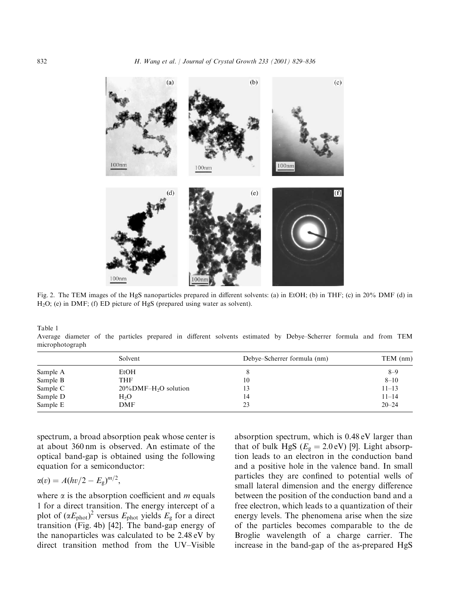$(b)$  $(a)$  $(c)$  $100nm$  $00<sub>nm</sub>$  $100nm$  $(f)$ (e)  $100<sub>nr</sub>$ 

Fig. 2. The TEM images of the HgS nanoparticles prepared in different solvents: (a) in EtOH; (b) in THF; (c) in 20% DMF (d) in H2O; (e) in DMF; (f) ED picture of HgS (prepared using water as solvent).

Table 1

Average diameter of the particles prepared in different solvents estimated by Debye–Scherrer formula and from TEM microphotograph

|          | Solvent                              | Debye-Scherrer formula (nm) | TEM(mm)   |
|----------|--------------------------------------|-----------------------------|-----------|
| Sample A | EtOH                                 |                             | $8 - 9$   |
| Sample B | THF                                  | 10                          | $8 - 10$  |
| Sample C | $20\%$ DMF-H <sub>2</sub> O solution | 13                          | $11 - 13$ |
| Sample D | $H_2O$                               | 14                          | $11 - 14$ |
| Sample E | DMF                                  | 23                          | $20 - 24$ |

spectrum, a broad absorption peak whose center is at about 360 nm is observed. An estimate of the optical band-gap is obtained using the following equation for a semiconductor:

;

$$
\alpha(v) = A(hv/2 - E_{\rm g})^{m/2}
$$

where  $\alpha$  is the absorption coefficient and *m* equals 1 for a direct transition. The energy intercept of a plot of  $(\alpha E_{phot})^2$  versus  $E_{phot}$  yields  $E_g$  for a direct transition (Fig. 4b) [42]. The band-gap energy of the nanoparticles was calculated to be 2.48 eV by direct transition method from the UV–Visible

absorption spectrum, which is 0.48 eV larger than that of bulk HgS ( $E_g = 2.0 \text{ eV}$ ) [9]. Light absorption leads to an electron in the conduction band and a positive hole in the valence band. In small particles they are confined to potential wells of small lateral dimension and the energy difference between the position of the conduction band and a free electron, which leads to a quantization of their energy levels. The phenomena arise when the size of the particles becomes comparable to the de Broglie wavelength of a charge carrier. The increase in the band-gap of the as-prepared HgS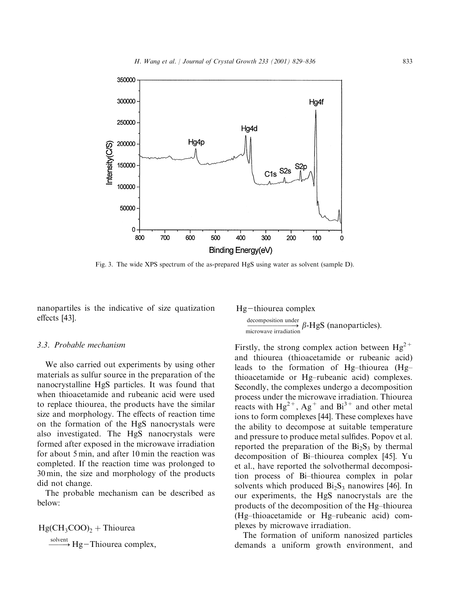

Fig. 3. The wide XPS spectrum of the as-prepared HgS using water as solvent (sample D).

nanopartiles is the indicative of size quatization effects [43].

#### 3.3. Probable mechanism

We also carried out experiments by using other materials as sulfur source in the preparation of the nanocrystalline HgS particles. It was found that when thioacetamide and rubeanic acid were used to replace thiourea, the products have the similar size and morphology. The effects of reaction time on the formation of the HgS nanocrystals were also investigated. The HgS nanocrystals were formed after exposed in the microwave irradiation for about 5 min, and after 10 min the reaction was completed. If the reaction time was prolonged to 30 min, the size and morphology of the products did not change.

The probable mechanism can be described as below:

 $HgCH_3COO$ <sub>2</sub> + Thiourea

 $\xrightarrow{\text{solvent}}$  Hg-Thiourea complex,

 $Hg$ -thiourea complex  $\begin{array}{c}\n\text{decomposition under} \\
\hline\n\text{microwave irradiation}\n\end{array}$  $\beta$ -HgS (nanoparticles).

Firstly, the strong complex action between  $Hg^{2+}$ and thiourea (thioacetamide or rubeanic acid) leads to the formation of Hg–thiourea (Hg– thioacetamide or Hg–rubeanic acid) complexes. Secondly, the complexes undergo a decomposition process under the microwave irradiation. Thiourea reacts with  $Hg^{2+}$ ,  $Ag^{+}$  and  $Bi^{3+}$  and other metal ions to form complexes [44]. These complexes have the ability to decompose at suitable temperature and pressure to produce metal sulfides. Popov et al. reported the preparation of the  $Bi<sub>2</sub>S<sub>3</sub>$  by thermal decomposition of Bi–thiourea complex [45]. Yu et al., have reported the solvothermal decomposition process of Bi–thiourea complex in polar solvents which produced  $Bi<sub>2</sub>S<sub>3</sub>$  nanowires [46]. In our experiments, the HgS nanocrystals are the products of the decomposition of the Hg–thiourea (Hg–thioacetamide or Hg–rubeanic acid) complexes by microwave irradiation.

The formation of uniform nanosized particles demands a uniform growth environment, and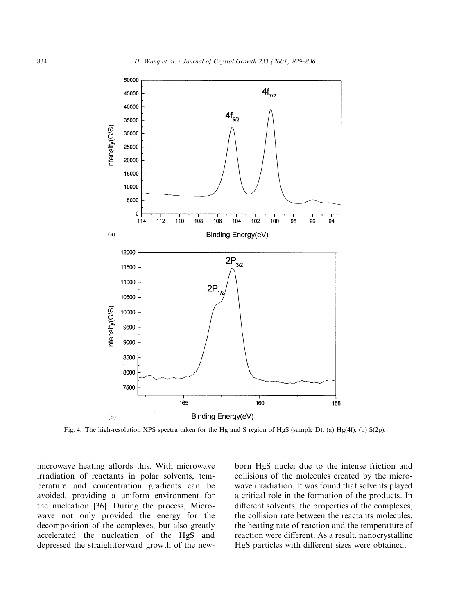

Fig. 4. The high-resolution XPS spectra taken for the Hg and S region of HgS (sample D): (a) Hg(4f); (b) S(2p).

microwave heating affords this. With microwave irradiation of reactants in polar solvents, temperature and concentration gradients can be avoided, providing a uniform environment for the nucleation [36]. During the process, Microwave not only provided the energy for the decomposition of the complexes, but also greatly accelerated the nucleation of the HgS and depressed the straightforward growth of the new-

born HgS nuclei due to the intense friction and collisions of the molecules created by the microwave irradiation. It was found that solvents played a critical role in the formation of the products. In different solvents, the properties of the complexes, the collision rate between the reactants molecules, the heating rate of reaction and the temperature of reaction were different. As a result, nanocrystalline HgS particles with different sizes were obtained.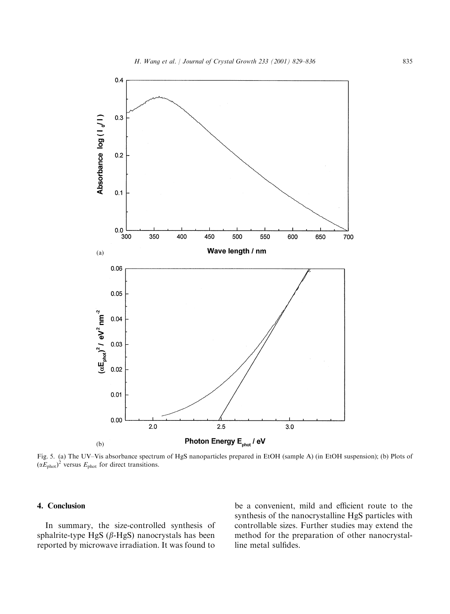

Fig. 5. (a) The UV–Vis absorbance spectrum of HgS nanoparticles prepared in EtOH (sample A) (in EtOH suspension); (b) Plots of  $(\alpha E_{\text{phot}})^2$  versus  $E_{\text{phot}}$  for direct transitions.

## 4. Conclusion

In summary, the size-controlled synthesis of sphalrite-type HgS ( $\beta$ -HgS) nanocrystals has been reported by microwave irradiation. It was found to

be a convenient, mild and efficient route to the synthesis of the nanocrystalline HgS particles with controllable sizes. Further studies may extend the method for the preparation of other nanocrystalline metal sulfides.